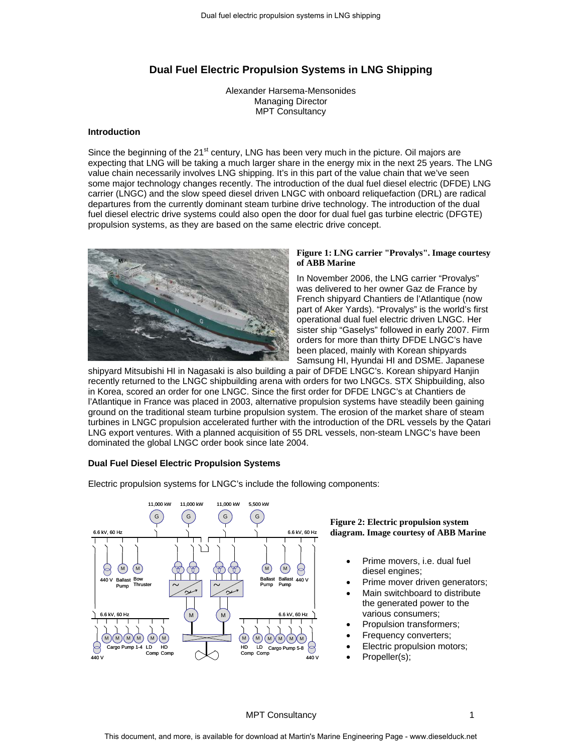# **Dual Fuel Electric Propulsion Systems in LNG Shipping**

Alexander Harsema-Mensonides Managing Director MPT Consultancy

#### **Introduction**

Since the beginning of the 21<sup>st</sup> century, LNG has been very much in the picture. Oil majors are expecting that LNG will be taking a much larger share in the energy mix in the next 25 years. The LNG value chain necessarily involves LNG shipping. It's in this part of the value chain that we've seen some major technology changes recently. The introduction of the dual fuel diesel electric (DFDE) LNG carrier (LNGC) and the slow speed diesel driven LNGC with onboard reliquefaction (DRL) are radical departures from the currently dominant steam turbine drive technology. The introduction of the dual fuel diesel electric drive systems could also open the door for dual fuel gas turbine electric (DFGTE) propulsion systems, as they are based on the same electric drive concept.



# **Figure 1: LNG carrier "Provalys". Image courtesy of ABB Marine**

In November 2006, the LNG carrier "Provalys" was delivered to her owner Gaz de France by French shipyard Chantiers de l'Atlantique (now part of Aker Yards). "Provalys" is the world's first operational dual fuel electric driven LNGC. Her sister ship "Gaselys" followed in early 2007. Firm orders for more than thirty DFDE LNGC's have been placed, mainly with Korean shipyards Samsung HI, Hyundai HI and DSME. Japanese

shipyard Mitsubishi HI in Nagasaki is also building a pair of DFDE LNGC's. Korean shipyard Hanjin recently returned to the LNGC shipbuilding arena with orders for two LNGCs. STX Shipbuilding, also in Korea, scored an order for one LNGC. Since the first order for DFDE LNGC's at Chantiers de l'Atlantique in France was placed in 2003, alternative propulsion systems have steadily been gaining ground on the traditional steam turbine propulsion system. The erosion of the market share of steam turbines in LNGC propulsion accelerated further with the introduction of the DRL vessels by the Qatari LNG export ventures. With a planned acquisition of 55 DRL vessels, non-steam LNGC's have been dominated the global LNGC order book since late 2004.

#### **Dual Fuel Diesel Electric Propulsion Systems**



Electric propulsion systems for LNGC's include the following components:

### **Figure 2: Electric propulsion system diagram. Image courtesy of ABB Marine**

- Prime movers, i.e. dual fuel diesel engines;
- Prime mover driven generators;
- Main switchboard to distribute the generated power to the various consumers;
- Propulsion transformers;
- Frequency converters;
- Electric propulsion motors;
- Propeller(s);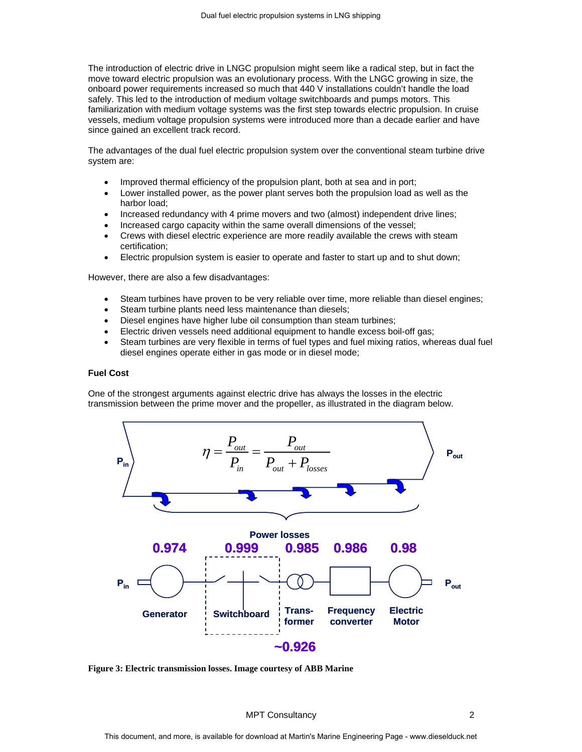The introduction of electric drive in LNGC propulsion might seem like a radical step, but in fact the move toward electric propulsion was an evolutionary process. With the LNGC growing in size, the onboard power requirements increased so much that 440 V installations couldn't handle the load safely. This led to the introduction of medium voltage switchboards and pumps motors. This familiarization with medium voltage systems was the first step towards electric propulsion. In cruise vessels, medium voltage propulsion systems were introduced more than a decade earlier and have since gained an excellent track record.

The advantages of the dual fuel electric propulsion system over the conventional steam turbine drive system are:

- Improved thermal efficiency of the propulsion plant, both at sea and in port;
- Lower installed power, as the power plant serves both the propulsion load as well as the harbor load;
- Increased redundancy with 4 prime movers and two (almost) independent drive lines;
- Increased cargo capacity within the same overall dimensions of the vessel;
- Crews with diesel electric experience are more readily available the crews with steam certification;
- Electric propulsion system is easier to operate and faster to start up and to shut down;

However, there are also a few disadvantages:

- Steam turbines have proven to be very reliable over time, more reliable than diesel engines;
- Steam turbine plants need less maintenance than diesels;
- Diesel engines have higher lube oil consumption than steam turbines;
- Electric driven vessels need additional equipment to handle excess boil-off gas;
- Steam turbines are very flexible in terms of fuel types and fuel mixing ratios, whereas dual fuel diesel engines operate either in gas mode or in diesel mode;

#### **Fuel Cost**

One of the strongest arguments against electric drive has always the losses in the electric transmission between the prime mover and the propeller, as illustrated in the diagram below.



**Figure 3: Electric transmission losses. Image courtesy of ABB Marine**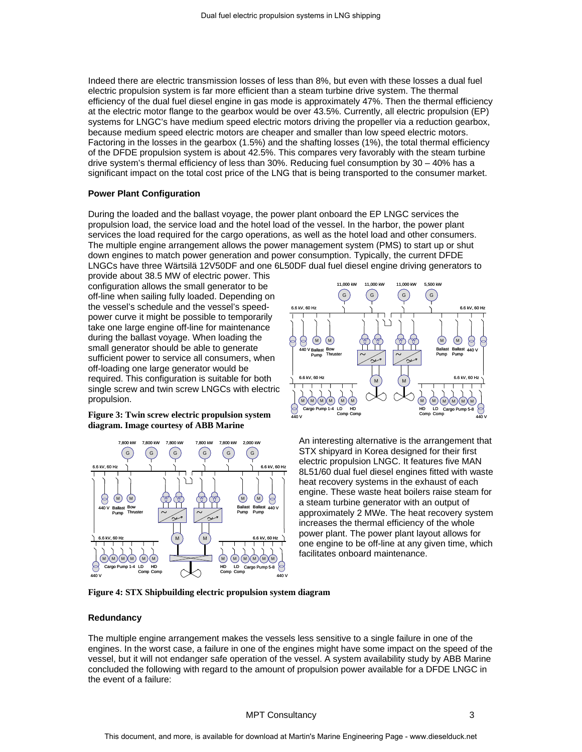Indeed there are electric transmission losses of less than 8%, but even with these losses a dual fuel electric propulsion system is far more efficient than a steam turbine drive system. The thermal efficiency of the dual fuel diesel engine in gas mode is approximately 47%. Then the thermal efficiency at the electric motor flange to the gearbox would be over 43.5%. Currently, all electric propulsion (EP) systems for LNGC's have medium speed electric motors driving the propeller via a reduction gearbox, because medium speed electric motors are cheaper and smaller than low speed electric motors. Factoring in the losses in the gearbox (1.5%) and the shafting losses (1%), the total thermal efficiency of the DFDE propulsion system is about 42.5%. This compares very favorably with the steam turbine drive system's thermal efficiency of less than 30%. Reducing fuel consumption by 30 – 40% has a significant impact on the total cost price of the LNG that is being transported to the consumer market.

#### **Power Plant Configuration**

During the loaded and the ballast voyage, the power plant onboard the EP LNGC services the propulsion load, the service load and the hotel load of the vessel. In the harbor, the power plant services the load required for the cargo operations, as well as the hotel load and other consumers. The multiple engine arrangement allows the power management system (PMS) to start up or shut down engines to match power generation and power consumption. Typically, the current DFDE LNGCs have three Wärtsilä 12V50DF and one 6L50DF dual fuel diesel engine driving generators to

provide about 38.5 MW of electric power. This configuration allows the small generator to be off-line when sailing fully loaded. Depending on the vessel's schedule and the vessel's speedpower curve it might be possible to temporarily take one large engine off-line for maintenance during the ballast voyage. When loading the small generator should be able to generate sufficient power to service all consumers, when off-loading one large generator would be required. This configuration is suitable for both single screw and twin screw LNGCs with electric propulsion.

**Figure 3: Twin screw electric propulsion system diagram. Image courtesy of ABB Marine**





An interesting alternative is the arrangement that STX shipyard in Korea designed for their first electric propulsion LNGC. It features five MAN 8L51/60 dual fuel diesel engines fitted with waste heat recovery systems in the exhaust of each engine. These waste heat boilers raise steam for a steam turbine generator with an output of approximately 2 MWe. The heat recovery system increases the thermal efficiency of the whole power plant. The power plant layout allows for one engine to be off-line at any given time, which facilitates onboard maintenance.

**Figure 4: STX Shipbuilding electric propulsion system diagram**

#### **Redundancy**

The multiple engine arrangement makes the vessels less sensitive to a single failure in one of the engines. In the worst case, a failure in one of the engines might have some impact on the speed of the vessel, but it will not endanger safe operation of the vessel. A system availability study by ABB Marine concluded the following with regard to the amount of propulsion power available for a DFDE LNGC in the event of a failure: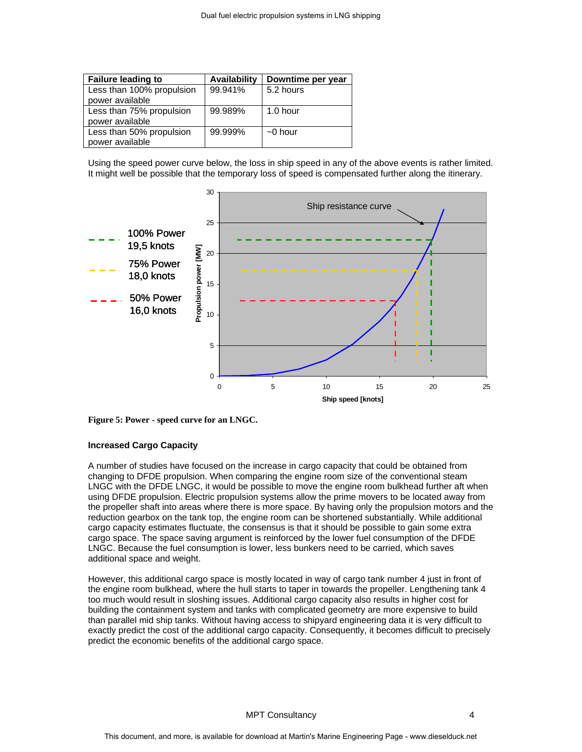| <b>Failure leading to</b> | <b>Availability</b> | Downtime per year |
|---------------------------|---------------------|-------------------|
| Less than 100% propulsion | 99.941%             | 5.2 hours         |
| power available           |                     |                   |
| Less than 75% propulsion  | 99.989%             | 1.0 hour          |
| power available           |                     |                   |
| Less than 50% propulsion  | 99.999%             | $\sim$ 0 hour     |
| power available           |                     |                   |

Using the speed power curve below, the loss in ship speed in any of the above events is rather limited. It might well be possible that the temporary loss of speed is compensated further along the itinerary.



**Figure 5: Power - speed curve for an LNGC.**

# **Increased Cargo Capacity**

A number of studies have focused on the increase in cargo capacity that could be obtained from changing to DFDE propulsion. When comparing the engine room size of the conventional steam LNGC with the DFDE LNGC, it would be possible to move the engine room bulkhead further aft when using DFDE propulsion. Electric propulsion systems allow the prime movers to be located away from the propeller shaft into areas where there is more space. By having only the propulsion motors and the reduction gearbox on the tank top, the engine room can be shortened substantially. While additional cargo capacity estimates fluctuate, the consensus is that it should be possible to gain some extra cargo space. The space saving argument is reinforced by the lower fuel consumption of the DFDE LNGC. Because the fuel consumption is lower, less bunkers need to be carried, which saves additional space and weight.

However, this additional cargo space is mostly located in way of cargo tank number 4 just in front of the engine room bulkhead, where the hull starts to taper in towards the propeller. Lengthening tank 4 too much would result in sloshing issues. Additional cargo capacity also results in higher cost for building the containment system and tanks with complicated geometry are more expensive to build than parallel mid ship tanks. Without having access to shipyard engineering data it is very difficult to exactly predict the cost of the additional cargo capacity. Consequently, it becomes difficult to precisely predict the economic benefits of the additional cargo space.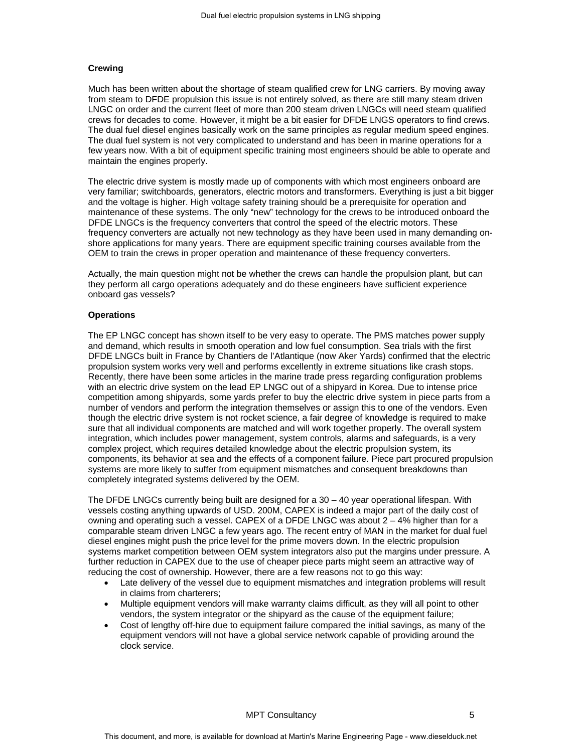# **Crewing**

Much has been written about the shortage of steam qualified crew for LNG carriers. By moving away from steam to DFDE propulsion this issue is not entirely solved, as there are still many steam driven LNGC on order and the current fleet of more than 200 steam driven LNGCs will need steam qualified crews for decades to come. However, it might be a bit easier for DFDE LNGS operators to find crews. The dual fuel diesel engines basically work on the same principles as regular medium speed engines. The dual fuel system is not very complicated to understand and has been in marine operations for a few years now. With a bit of equipment specific training most engineers should be able to operate and maintain the engines properly.

The electric drive system is mostly made up of components with which most engineers onboard are very familiar; switchboards, generators, electric motors and transformers. Everything is just a bit bigger and the voltage is higher. High voltage safety training should be a prerequisite for operation and maintenance of these systems. The only "new" technology for the crews to be introduced onboard the DFDE LNGCs is the frequency converters that control the speed of the electric motors. These frequency converters are actually not new technology as they have been used in many demanding onshore applications for many years. There are equipment specific training courses available from the OEM to train the crews in proper operation and maintenance of these frequency converters.

Actually, the main question might not be whether the crews can handle the propulsion plant, but can they perform all cargo operations adequately and do these engineers have sufficient experience onboard gas vessels?

### **Operations**

The EP LNGC concept has shown itself to be very easy to operate. The PMS matches power supply and demand, which results in smooth operation and low fuel consumption. Sea trials with the first DFDE LNGCs built in France by Chantiers de l'Atlantique (now Aker Yards) confirmed that the electric propulsion system works very well and performs excellently in extreme situations like crash stops. Recently, there have been some articles in the marine trade press regarding configuration problems with an electric drive system on the lead EP LNGC out of a shipyard in Korea. Due to intense price competition among shipyards, some yards prefer to buy the electric drive system in piece parts from a number of vendors and perform the integration themselves or assign this to one of the vendors. Even though the electric drive system is not rocket science, a fair degree of knowledge is required to make sure that all individual components are matched and will work together properly. The overall system integration, which includes power management, system controls, alarms and safeguards, is a very complex project, which requires detailed knowledge about the electric propulsion system, its components, its behavior at sea and the effects of a component failure. Piece part procured propulsion systems are more likely to suffer from equipment mismatches and consequent breakdowns than completely integrated systems delivered by the OEM.

The DFDE LNGCs currently being built are designed for a 30 – 40 year operational lifespan. With vessels costing anything upwards of USD. 200M, CAPEX is indeed a major part of the daily cost of owning and operating such a vessel. CAPEX of a DFDE LNGC was about 2 – 4% higher than for a comparable steam driven LNGC a few years ago. The recent entry of MAN in the market for dual fuel diesel engines might push the price level for the prime movers down. In the electric propulsion systems market competition between OEM system integrators also put the margins under pressure. A further reduction in CAPEX due to the use of cheaper piece parts might seem an attractive way of reducing the cost of ownership. However, there are a few reasons not to go this way:

- Late delivery of the vessel due to equipment mismatches and integration problems will result in claims from charterers;
- Multiple equipment vendors will make warranty claims difficult, as they will all point to other vendors, the system integrator or the shipyard as the cause of the equipment failure;
- Cost of lengthy off-hire due to equipment failure compared the initial savings, as many of the equipment vendors will not have a global service network capable of providing around the clock service.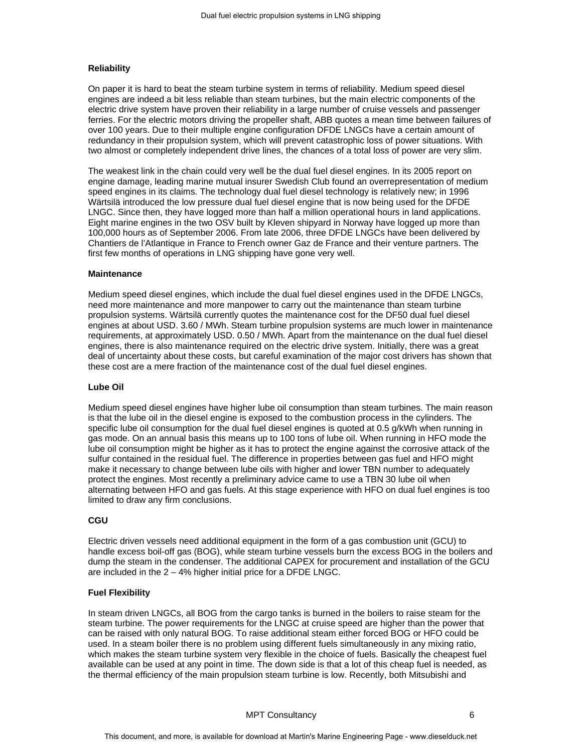# **Reliability**

On paper it is hard to beat the steam turbine system in terms of reliability. Medium speed diesel engines are indeed a bit less reliable than steam turbines, but the main electric components of the electric drive system have proven their reliability in a large number of cruise vessels and passenger ferries. For the electric motors driving the propeller shaft, ABB quotes a mean time between failures of over 100 years. Due to their multiple engine configuration DFDE LNGCs have a certain amount of redundancy in their propulsion system, which will prevent catastrophic loss of power situations. With two almost or completely independent drive lines, the chances of a total loss of power are very slim.

The weakest link in the chain could very well be the dual fuel diesel engines. In its 2005 report on engine damage, leading marine mutual insurer Swedish Club found an overrepresentation of medium speed engines in its claims. The technology dual fuel diesel technology is relatively new; in 1996 Wärtsilä introduced the low pressure dual fuel diesel engine that is now being used for the DFDE LNGC. Since then, they have logged more than half a million operational hours in land applications. Eight marine engines in the two OSV built by Kleven shipyard in Norway have logged up more than 100,000 hours as of September 2006. From late 2006, three DFDE LNGCs have been delivered by Chantiers de l'Atlantique in France to French owner Gaz de France and their venture partners. The first few months of operations in LNG shipping have gone very well.

#### **Maintenance**

Medium speed diesel engines, which include the dual fuel diesel engines used in the DFDE LNGCs, need more maintenance and more manpower to carry out the maintenance than steam turbine propulsion systems. Wärtsilä currently quotes the maintenance cost for the DF50 dual fuel diesel engines at about USD. 3.60 / MWh. Steam turbine propulsion systems are much lower in maintenance requirements, at approximately USD. 0.50 / MWh. Apart from the maintenance on the dual fuel diesel engines, there is also maintenance required on the electric drive system. Initially, there was a great deal of uncertainty about these costs, but careful examination of the major cost drivers has shown that these cost are a mere fraction of the maintenance cost of the dual fuel diesel engines.

## **Lube Oil**

Medium speed diesel engines have higher lube oil consumption than steam turbines. The main reason is that the lube oil in the diesel engine is exposed to the combustion process in the cylinders. The specific lube oil consumption for the dual fuel diesel engines is quoted at 0.5 g/kWh when running in gas mode. On an annual basis this means up to 100 tons of lube oil. When running in HFO mode the lube oil consumption might be higher as it has to protect the engine against the corrosive attack of the sulfur contained in the residual fuel. The difference in properties between gas fuel and HFO might make it necessary to change between lube oils with higher and lower TBN number to adequately protect the engines. Most recently a preliminary advice came to use a TBN 30 lube oil when alternating between HFO and gas fuels. At this stage experience with HFO on dual fuel engines is too limited to draw any firm conclusions.

# **CGU**

Electric driven vessels need additional equipment in the form of a gas combustion unit (GCU) to handle excess boil-off gas (BOG), while steam turbine vessels burn the excess BOG in the boilers and dump the steam in the condenser. The additional CAPEX for procurement and installation of the GCU are included in the 2 – 4% higher initial price for a DFDE LNGC.

# **Fuel Flexibility**

In steam driven LNGCs, all BOG from the cargo tanks is burned in the boilers to raise steam for the steam turbine. The power requirements for the LNGC at cruise speed are higher than the power that can be raised with only natural BOG. To raise additional steam either forced BOG or HFO could be used. In a steam boiler there is no problem using different fuels simultaneously in any mixing ratio, which makes the steam turbine system very flexible in the choice of fuels. Basically the cheapest fuel available can be used at any point in time. The down side is that a lot of this cheap fuel is needed, as the thermal efficiency of the main propulsion steam turbine is low. Recently, both Mitsubishi and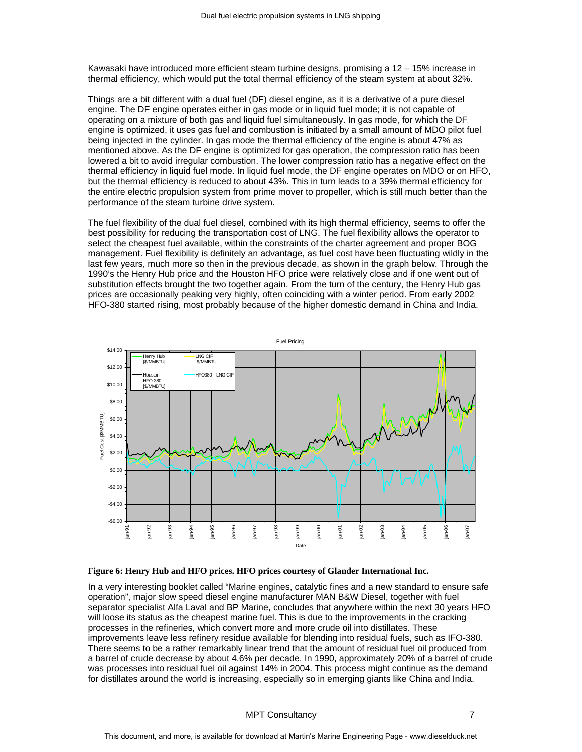Kawasaki have introduced more efficient steam turbine designs, promising a 12 – 15% increase in thermal efficiency, which would put the total thermal efficiency of the steam system at about 32%.

Things are a bit different with a dual fuel (DF) diesel engine, as it is a derivative of a pure diesel engine. The DF engine operates either in gas mode or in liquid fuel mode; it is not capable of operating on a mixture of both gas and liquid fuel simultaneously. In gas mode, for which the DF engine is optimized, it uses gas fuel and combustion is initiated by a small amount of MDO pilot fuel being injected in the cylinder. In gas mode the thermal efficiency of the engine is about 47% as mentioned above. As the DF engine is optimized for gas operation, the compression ratio has been lowered a bit to avoid irregular combustion. The lower compression ratio has a negative effect on the thermal efficiency in liquid fuel mode. In liquid fuel mode, the DF engine operates on MDO or on HFO, but the thermal efficiency is reduced to about 43%. This in turn leads to a 39% thermal efficiency for the entire electric propulsion system from prime mover to propeller, which is still much better than the performance of the steam turbine drive system.

The fuel flexibility of the dual fuel diesel, combined with its high thermal efficiency, seems to offer the best possibility for reducing the transportation cost of LNG. The fuel flexibility allows the operator to select the cheapest fuel available, within the constraints of the charter agreement and proper BOG management. Fuel flexibility is definitely an advantage, as fuel cost have been fluctuating wildly in the last few years, much more so then in the previous decade, as shown in the graph below. Through the 1990's the Henry Hub price and the Houston HFO price were relatively close and if one went out of substitution effects brought the two together again. From the turn of the century, the Henry Hub gas prices are occasionally peaking very highly, often coinciding with a winter period. From early 2002 HFO-380 started rising, most probably because of the higher domestic demand in China and India.



#### **Figure 6: Henry Hub and HFO prices. HFO prices courtesy of Glander International Inc.**

In a very interesting booklet called "Marine engines, catalytic fines and a new standard to ensure safe operation", major slow speed diesel engine manufacturer MAN B&W Diesel, together with fuel separator specialist Alfa Laval and BP Marine, concludes that anywhere within the next 30 years HFO will loose its status as the cheapest marine fuel. This is due to the improvements in the cracking processes in the refineries, which convert more and more crude oil into distillates. These improvements leave less refinery residue available for blending into residual fuels, such as IFO-380. There seems to be a rather remarkably linear trend that the amount of residual fuel oil produced from a barrel of crude decrease by about 4.6% per decade. In 1990, approximately 20% of a barrel of crude was processes into residual fuel oil against 14% in 2004. This process might continue as the demand for distillates around the world is increasing, especially so in emerging giants like China and India.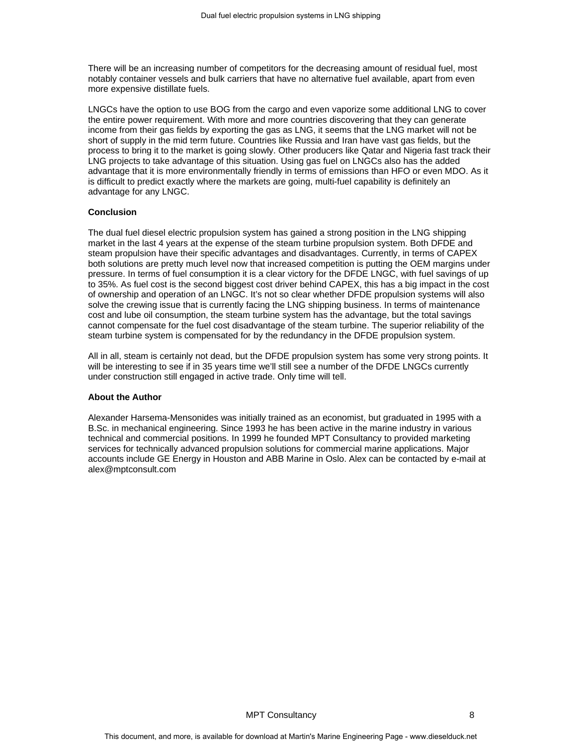There will be an increasing number of competitors for the decreasing amount of residual fuel, most notably container vessels and bulk carriers that have no alternative fuel available, apart from even more expensive distillate fuels.

LNGCs have the option to use BOG from the cargo and even vaporize some additional LNG to cover the entire power requirement. With more and more countries discovering that they can generate income from their gas fields by exporting the gas as LNG, it seems that the LNG market will not be short of supply in the mid term future. Countries like Russia and Iran have vast gas fields, but the process to bring it to the market is going slowly. Other producers like Qatar and Nigeria fast track their LNG projects to take advantage of this situation. Using gas fuel on LNGCs also has the added advantage that it is more environmentally friendly in terms of emissions than HFO or even MDO. As it is difficult to predict exactly where the markets are going, multi-fuel capability is definitely an advantage for any LNGC.

## **Conclusion**

The dual fuel diesel electric propulsion system has gained a strong position in the LNG shipping market in the last 4 years at the expense of the steam turbine propulsion system. Both DFDE and steam propulsion have their specific advantages and disadvantages. Currently, in terms of CAPEX both solutions are pretty much level now that increased competition is putting the OEM margins under pressure. In terms of fuel consumption it is a clear victory for the DFDE LNGC, with fuel savings of up to 35%. As fuel cost is the second biggest cost driver behind CAPEX, this has a big impact in the cost of ownership and operation of an LNGC. It's not so clear whether DFDE propulsion systems will also solve the crewing issue that is currently facing the LNG shipping business. In terms of maintenance cost and lube oil consumption, the steam turbine system has the advantage, but the total savings cannot compensate for the fuel cost disadvantage of the steam turbine. The superior reliability of the steam turbine system is compensated for by the redundancy in the DFDE propulsion system.

All in all, steam is certainly not dead, but the DFDE propulsion system has some very strong points. It will be interesting to see if in 35 years time we'll still see a number of the DFDE LNGCs currently under construction still engaged in active trade. Only time will tell.

### **About the Author**

Alexander Harsema-Mensonides was initially trained as an economist, but graduated in 1995 with a B.Sc. in mechanical engineering. Since 1993 he has been active in the marine industry in various technical and commercial positions. In 1999 he founded MPT Consultancy to provided marketing services for technically advanced propulsion solutions for commercial marine applications. Major accounts include GE Energy in Houston and ABB Marine in Oslo. Alex can be contacted by e-mail at alex@mptconsult.com